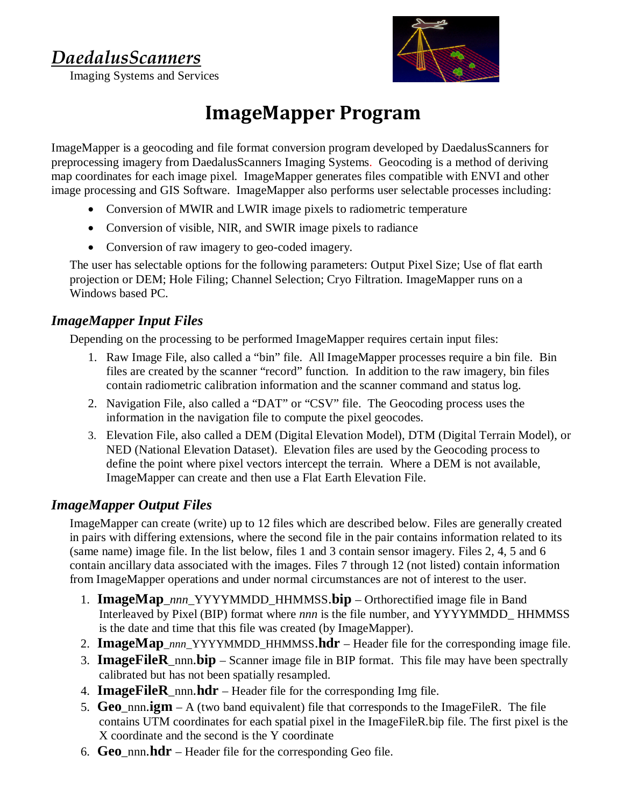## *DaedalusScanners*



Imaging Systems and Services

# **ImageMapper Program**

ImageMapper is a geocoding and file format conversion program developed by DaedalusScanners for preprocessing imagery from DaedalusScanners Imaging Systems. Geocoding is a method of deriving map coordinates for each image pixel. ImageMapper generates files compatible with ENVI and other image processing and GIS Software. ImageMapper also performs user selectable processes including:

- Conversion of MWIR and LWIR image pixels to radiometric temperature
- � Conversion of visible, NIR, and SWIR image pixels to radiance
- Conversion of raw imagery to geo-coded imagery.

The user has selectable options for the following parameters: Output Pixel Size; Use of flat earth projection or DEM; Hole Filing; Channel Selection; Cryo Filtration. ImageMapper runs on a Windows based PC.

#### *ImageMapper Input Files*

Depending on the processing to be performed ImageMapper requires certain input files:

- 1. Raw Image File, also called a "bin" file. All ImageMapper processes require a bin file. Bin files are created by the scanner "record" function. In addition to the raw imagery, bin files contain radiometric calibration information and the scanner command and status log.
- 2. Navigation File, also called a "DAT" or "CSV" file. The Geocoding process uses the information in the navigation file to compute the pixel geocodes.
- 3. Elevation File, also called a DEM (Digital Elevation Model), DTM (Digital Terrain Model), or NED (National Elevation Dataset). Elevation files are used by the Geocoding process to define the point where pixel vectors intercept the terrain. Where a DEM is not available, ImageMapper can create and then use a Flat Earth Elevation File.

### *ImageMapper Output Files*

ImageMapper can create (write) up to 12 files which are described below. Files are generally created in pairs with differing extensions, where the second file in the pair contains information related to its (same name) image file. In the list below, files 1 and 3 contain sensor imagery. Files 2, 4, 5 and 6 contain ancillary data associated with the images. Files 7 through 12 (not listed) contain information from ImageMapper operations and under normal circumstances are not of interest to the user.

- 1. **ImageMap**\_*nnn*\_YYYYMMDD*\_*HHMMSS.**bip** Orthorectified image file in Band Interleaved by Pixel (BIP) format where *nnn* is the file number, and YYYYMMDD*\_* HHMMSS is the date and time that this file was created (by ImageMapper).
- 2. **ImageMap**\_*nnn*\_YYYYMMDD\_HHMMSS.**hdr** Header file for the corresponding image file.
- 3. **ImageFileR**\_nnn.**bip** Scanner image file in BIP format. This file may have been spectrally calibrated but has not been spatially resampled.
- 4. **ImageFileR**\_nnn.**hdr** Header file for the corresponding Img file.
- 5. **Geo**\_nnn.**igm** A (two band equivalent) file that corresponds to the ImageFileR. The file contains UTM coordinates for each spatial pixel in the ImageFileR.bip file. The first pixel is the X coordinate and the second is the Y coordinate
- 6. **Geo**\_nnn.**hdr** Header file for the corresponding Geo file.